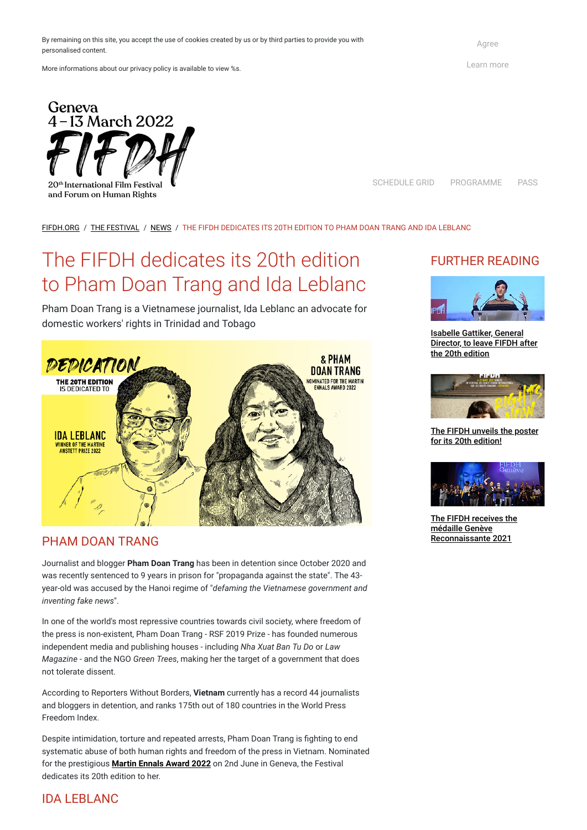By remaining on this site, you accept the use of cookies created by us or by third parties to provide you with personalised content.

More informations about our privacy policy is available to view %s.

 $4-13$  March 2022 20<sup>th</sup> International Film Festiva

Geneva

and Forum on Human Rights

[Agree](https://fifdh.org/en/the-festival/news/article?tx_mrcookie_pi1%5Baction%5D=consent&tx_mrcookie_pi1%5Bcontroller%5D=Cookie&cHash=b400df338f83d8c15ee79eda9ebc8d72)

[Learn more](https://fifdh.org/en/corporate/terms-and-conditions)

[SCHEDULE GRID](https://fifdh.org/fileadmin/user_upload/Documents/Programme/FIFDH_GRILLE_HORAIRE_2022.pdf) [PROGRAMME](https://fifdh.org/en/program-2022) PASS

#### [FIFDH.ORG](https://fifdh.org/en/) / THE [FESTIVAL](https://fifdh.org/en/the-festival) / [NEWS](https://fifdh.org/en/the-festival/news) / THE FIFDH DEDICATES ITS 20TH EDITION TO PHAM DOAN TRANG AND IDA LEBLANC

# The FIFDH dedicates its 20th edition to Pham Doan Trang and Ida Leblanc

Pham Doan Trang is a Vietnamese journalist, Ida Leblanc an advocate for domestic workers' rights in Trinidad and Tobago



#### PHAM DOAN TRANG

Journalist and blogger **Pham Doan Trang** has been in detention since October 2020 and was recently sentenced to 9 years in prison for "propaganda against the state". The 43 year-old was accused by the Hanoi regime of "*defaming the Vietnamese government and inventing fake news*".

In one of the world's most repressive countries towards civil society, where freedom of

the press is non-existent, Pham Doan Trang - RSF 2019 Prize - has founded numerous independent media and publishing houses - including *Nha Xuat Ban Tu Do* or *Law Magazine* - and the NGO *Green Trees*, making her the target of a government that does not tolerate dissent.

According to Reporters Without Borders, **Vietnam** currently has a record 44 journalists and bloggers in detention, and ranks 175th out of 180 countries in the World Press Freedom Index.

Despite intimidation, torture and repeated arrests, Pham Doan Trang is fighting to end systematic abuse of both human rights and freedom of the press in Vietnam. Nominated for the prestigious **[Martin Ennals Award 2022](https://www.martinennalsaward.org/)** on 2nd June in Geneva, the Festival dedicates its 20th edition to her.

### IDA LEBLANC

## FURTHER READING



Isabelle Gattiker, General [Director, to leave FIFDH after](https://fifdh.org/en/the-festival/news/article/isabelle-gattiker-directrice-generale-quittera-le-fifdh-apres-la-20e-edition) the 20th edition



[The FIFDH unveils the poster](https://fifdh.org/en/the-festival/news/article/the-fifdh-unveils-the-poster-for-its-20th-edition) for its 20th edition!



[The FIFDH receives the](https://fifdh.org/en/the-festival/news/article/le-fifdh-recoit-la-medaille-geneve-reconnaissante-2021) médaille Genève Reconnaissante 2021